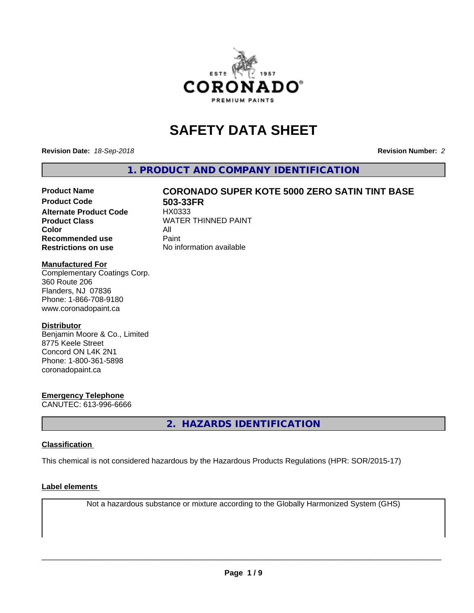

# **SAFETY DATA SHEET**

**Revision Date:** *18-Sep-2018* **Revision Number:** *2*

**1. PRODUCT AND COMPANY IDENTIFICATION**

# Product Name **CORONADO SUPER KOTE 5000 ZERO SATIN TINT BASE**<br>Product Code 503-33FR

**Alternate Product Code Color** All<br> **Recommended use** Paint **Recommended use Restrictions on use** No information available

**503-33FR**<br>HX0333 **Product Class WATER THINNED PAINT** 

#### **Manufactured For**

Complementary Coatings Corp. 360 Route 206 Flanders, NJ 07836 Phone: 1-866-708-9180 www.coronadopaint.ca

#### **Distributor**

Benjamin Moore & Co., Limited 8775 Keele Street Concord ON L4K 2N1 Phone: 1-800-361-5898 coronadopaint.ca

### **Emergency Telephone**

CANUTEC: 613-996-6666

**2. HAZARDS IDENTIFICATION**

### **Classification**

This chemical is not considered hazardous by the Hazardous Products Regulations (HPR: SOR/2015-17)

#### **Label elements**

Not a hazardous substance or mixture according to the Globally Harmonized System (GHS)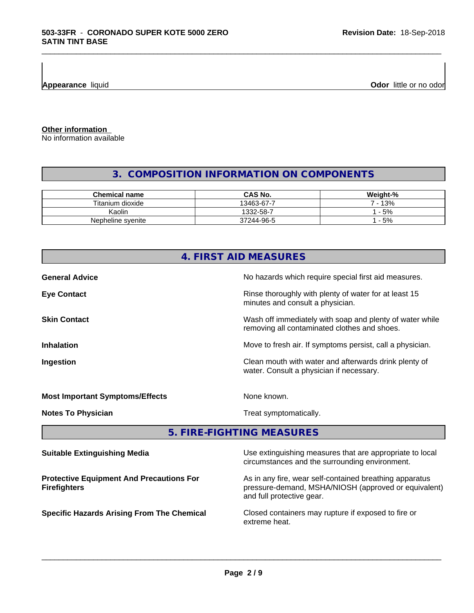**Appearance** liquid **Odor 11** and **Odor 11** and **Odor 11** and **Odor 11** and **Odor 11** and **Odor Odor** 11 and **Odor** 11 and **Odor** 11 and **Odor** 11 and **Odor** 11 and **Odor** 11 and 21 and 21 and 21 and 21 and 22 and 22 and

**Other information**

No information available

# **3. COMPOSITION INFORMATION ON COMPONENTS**

\_\_\_\_\_\_\_\_\_\_\_\_\_\_\_\_\_\_\_\_\_\_\_\_\_\_\_\_\_\_\_\_\_\_\_\_\_\_\_\_\_\_\_\_\_\_\_\_\_\_\_\_\_\_\_\_\_\_\_\_\_\_\_\_\_\_\_\_\_\_\_\_\_\_\_\_\_\_\_\_\_\_\_\_\_\_\_\_\_\_\_\_\_

| <b>Chemical name</b> | <b>CAS No.</b> | Weight-% |
|----------------------|----------------|----------|
| Titanium dioxide     | 13463-67-7     | 13%      |
| Kaolin               | 1332-58-7      | 5%       |
| Nepheline svenite    | 37244-96-5     | $-5%$    |

| 4. FIRST AID MEASURES                                                  |                                                                                                                 |  |
|------------------------------------------------------------------------|-----------------------------------------------------------------------------------------------------------------|--|
| <b>General Advice</b>                                                  | No hazards which require special first aid measures.                                                            |  |
| <b>Eye Contact</b>                                                     | Rinse thoroughly with plenty of water for at least 15<br>minutes and consult a physician.                       |  |
| <b>Skin Contact</b>                                                    | Wash off immediately with soap and plenty of water while<br>removing all contaminated clothes and shoes.        |  |
| <b>Inhalation</b>                                                      | Move to fresh air. If symptoms persist, call a physician.                                                       |  |
| Ingestion                                                              | Clean mouth with water and afterwards drink plenty of<br>water. Consult a physician if necessary.               |  |
| <b>Most Important Symptoms/Effects</b>                                 | None known.                                                                                                     |  |
| <b>Notes To Physician</b>                                              | Treat symptomatically.                                                                                          |  |
|                                                                        | 5. FIRE-FIGHTING MEASURES                                                                                       |  |
| <b>Suitable Extinguishing Media</b>                                    | Use extinguishing measures that are appropriate to local<br>circumstances and the surrounding environment.      |  |
| <b>Protective Equipment And Precautions For</b><br><b>Firefighters</b> | As in any fire, wear self-contained breathing apparatus<br>pressure-demand, MSHA/NIOSH (approved or equivalent) |  |

pressure-demand, MSHA/NIOSH (approved or equivalent) and full protective gear.

**Specific Hazards Arising From The Chemical Closed containers may rupture if exposed to fire or** extreme heat.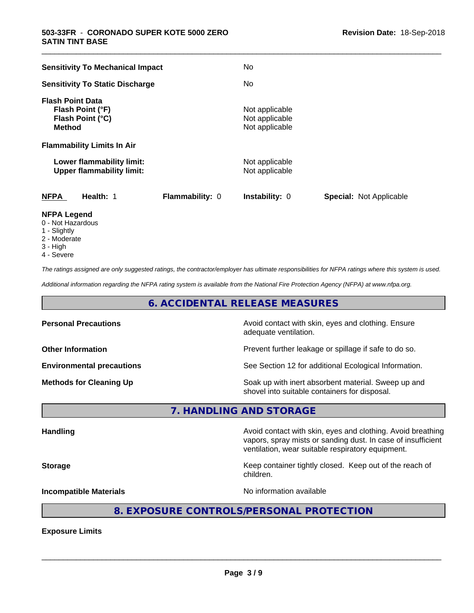| <b>Sensitivity To Mechanical Impact</b>                                          | No                                                 |                                |
|----------------------------------------------------------------------------------|----------------------------------------------------|--------------------------------|
| <b>Sensitivity To Static Discharge</b>                                           | No.                                                |                                |
| <b>Flash Point Data</b><br>Flash Point (°F)<br>Flash Point (°C)<br><b>Method</b> | Not applicable<br>Not applicable<br>Not applicable |                                |
| <b>Flammability Limits In Air</b>                                                |                                                    |                                |
| Lower flammability limit:<br><b>Upper flammability limit:</b>                    | Not applicable<br>Not applicable                   |                                |
| <b>NFPA</b><br>Health: 1<br>Flammability: 0                                      | <b>Instability: 0</b>                              | <b>Special: Not Applicable</b> |
| <b>NFPA Legend</b>                                                               |                                                    |                                |

\_\_\_\_\_\_\_\_\_\_\_\_\_\_\_\_\_\_\_\_\_\_\_\_\_\_\_\_\_\_\_\_\_\_\_\_\_\_\_\_\_\_\_\_\_\_\_\_\_\_\_\_\_\_\_\_\_\_\_\_\_\_\_\_\_\_\_\_\_\_\_\_\_\_\_\_\_\_\_\_\_\_\_\_\_\_\_\_\_\_\_\_\_

- 0 Not Hazardous
- 1 Slightly
- 2 Moderate
- 3 High
- 4 Severe

*The ratings assigned are only suggested ratings, the contractor/employer has ultimate responsibilities for NFPA ratings where this system is used.*

*Additional information regarding the NFPA rating system is available from the National Fire Protection Agency (NFPA) at www.nfpa.org.*

## **6. ACCIDENTAL RELEASE MEASURES**

| <b>Personal Precautions</b>      | Avoid contact with skin, eyes and clothing. Ensure<br>adequate ventilation.                          |
|----------------------------------|------------------------------------------------------------------------------------------------------|
| <b>Other Information</b>         | Prevent further leakage or spillage if safe to do so.                                                |
| <b>Environmental precautions</b> | See Section 12 for additional Ecological Information.                                                |
| <b>Methods for Cleaning Up</b>   | Soak up with inert absorbent material. Sweep up and<br>shovel into suitable containers for disposal. |

**7. HANDLING AND STORAGE**

Handling **Handling Avoid contact with skin, eyes and clothing. Avoid breathing Handling** vapors, spray mists or sanding dust. In case of insufficient ventilation, wear suitable respiratory equipment. **Storage Keep container tightly closed. Keep out of the reach of the reach of the reach of the reach of the reach of the reach of the reach of the reach of the reach of the reach of the reach of the reach of the reach of** children. **Incompatible Materials Incompatible Materials No information available** 

# **8. EXPOSURE CONTROLS/PERSONAL PROTECTION**

**Exposure Limits**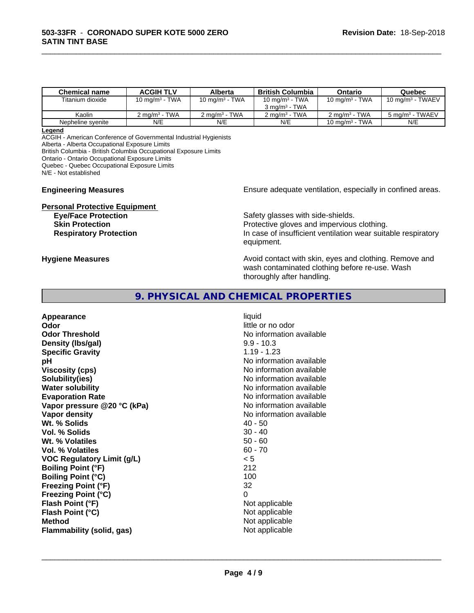| Chemical name     | <b>ACGIH TLV</b>         | Alberta                     | <b>British Columbia</b>  | Ontario                   | Quebec                      |
|-------------------|--------------------------|-----------------------------|--------------------------|---------------------------|-----------------------------|
| Titanium dioxide  | 10 mg/m $3$ - TWA        | 10 mg/m $3$ - TWA           | 10 mg/m $3$ - TWA        | 10 mg/m $3$ - TWA         | $10 \text{ mg/m}^3$ - TWAEV |
|                   |                          |                             | 3 mg/m $3$ - TWA         |                           |                             |
| Kaolin            | $2 \text{ ma/m}^3$ - TWA | $2$ ma/m <sup>3</sup> - TWA | $2 \text{ ma/m}^3$ - TWA | 2 ma/m <sup>3</sup> - TWA | $5 \text{ ma/m}^3$ - TWAEV  |
| Nepheline svenite | N/E                      | N/E                         | N/E                      | 10 mg/m $3$ - TWA         | N/E                         |

\_\_\_\_\_\_\_\_\_\_\_\_\_\_\_\_\_\_\_\_\_\_\_\_\_\_\_\_\_\_\_\_\_\_\_\_\_\_\_\_\_\_\_\_\_\_\_\_\_\_\_\_\_\_\_\_\_\_\_\_\_\_\_\_\_\_\_\_\_\_\_\_\_\_\_\_\_\_\_\_\_\_\_\_\_\_\_\_\_\_\_\_\_

#### **Legend**

ACGIH - American Conference of Governmental Industrial Hygienists Alberta - Alberta Occupational Exposure Limits

British Columbia - British Columbia Occupational Exposure Limits

Ontario - Ontario Occupational Exposure Limits

Quebec - Quebec Occupational Exposure Limits

N/E - Not established

**Personal Protective Equipment**

**Engineering Measures Ensure** Ensure adequate ventilation, especially in confined areas.

**Eye/Face Protection Safety glasses with side-shields. Skin Protection Protection Protective gloves and impervious clothing. Respiratory Protection In case of insufficient ventilation wear suitable respiratory** equipment.

**Hygiene Measures Avoid contact with skin, eyes and clothing. Remove and Avoid contact with skin, eyes and clothing. Remove and Avoid contact with skin, eyes and clothing. Remove and** wash contaminated clothing before re-use. Wash thoroughly after handling.

### **9. PHYSICAL AND CHEMICAL PROPERTIES**

**Appearance** liquid **Odor** little or no odor **Odor Threshold No information available No information available Density (lbs/gal)** 9.9 - 10.3 **Specific Gravity** 1.19 - 1.23 **pH** No information available **Viscosity (cps)** No information available **Solubility(ies)** No information available **Water solubility Water solubility Water solubility Water solubility Water solubility Water solution Evaporation Rate No information available No information available Vapor pressure** @20 °C (kPa) **No information available Vapor density No information available Wt. % Solids** 40 - 50 **Vol. % Solids** 30 - 40 **Wt. % Volatiles** 50 - 60 **Vol. % Volatiles** 60 - 70 **VOC Regulatory Limit (g/L)** < 5 **Boiling Point (°F)** 212 **Boiling Point (°C)** 100 **Freezing Point (°F)** 32 **Freezing Point (°C)** 0 **Flash Point (°F)** Not applicable **Flash Point (°C)** Not applicable **Method** Not applicable Not applicable **Flammability (solid, gas)** Not applicable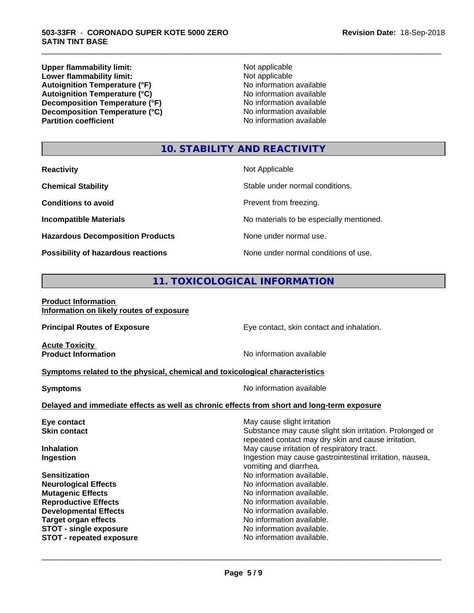**Upper flammability limit:**<br> **Lower flammability limit:**<br>
Not applicable<br>
Not applicable **Lower flammability limit:**<br> **Autoignition Temperature (°F)**<br>
Mo information available Autoignition Temperature (°F)<br>
Autoignition Temperature (°C)<br>
No information available Autoignition Temperature (°C)<br>
Decomposition Temperature (°F)<br>
No information available **Decomposition Temperature (°F)**<br> **Decomposition Temperature (°C)**<br>
No information available **Decomposition Temperature (°C) Partition coefficient** 

\_\_\_\_\_\_\_\_\_\_\_\_\_\_\_\_\_\_\_\_\_\_\_\_\_\_\_\_\_\_\_\_\_\_\_\_\_\_\_\_\_\_\_\_\_\_\_\_\_\_\_\_\_\_\_\_\_\_\_\_\_\_\_\_\_\_\_\_\_\_\_\_\_\_\_\_\_\_\_\_\_\_\_\_\_\_\_\_\_\_\_\_\_

# **10. STABILITY AND REACTIVITY**

| <b>Reactivity</b>                       | Not Applicable                           |
|-----------------------------------------|------------------------------------------|
| <b>Chemical Stability</b>               | Stable under normal conditions.          |
| <b>Conditions to avoid</b>              | Prevent from freezing.                   |
| <b>Incompatible Materials</b>           | No materials to be especially mentioned. |
| <b>Hazardous Decomposition Products</b> | None under normal use.                   |
| Possibility of hazardous reactions      | None under normal conditions of use.     |

# **11. TOXICOLOGICAL INFORMATION**

#### **Product Information Information on likely routes of exposure**

| <b>Principal Routes of Exposure</b>                                                        | Eye contact, skin contact and inhalation.                                                                       |  |  |  |
|--------------------------------------------------------------------------------------------|-----------------------------------------------------------------------------------------------------------------|--|--|--|
| <b>Acute Toxicity</b><br><b>Product Information</b>                                        | No information available                                                                                        |  |  |  |
| Symptoms related to the physical, chemical and toxicological characteristics               |                                                                                                                 |  |  |  |
| No information available<br><b>Symptoms</b>                                                |                                                                                                                 |  |  |  |
| Delayed and immediate effects as well as chronic effects from short and long-term exposure |                                                                                                                 |  |  |  |
| Eye contact                                                                                | May cause slight irritation                                                                                     |  |  |  |
| <b>Skin contact</b>                                                                        | Substance may cause slight skin irritation. Prolonged or<br>repeated contact may dry skin and cause irritation. |  |  |  |
| <b>Inhalation</b>                                                                          | May cause irritation of respiratory tract.                                                                      |  |  |  |
| Ingestion                                                                                  | Ingestion may cause gastrointestinal irritation, nausea,<br>vomiting and diarrhea.                              |  |  |  |
| <b>Sensitization</b>                                                                       | No information available.                                                                                       |  |  |  |
| <b>Neurological Effects</b>                                                                | No information available.                                                                                       |  |  |  |
| <b>Mutagenic Effects</b>                                                                   | No information available.                                                                                       |  |  |  |
| <b>Reproductive Effects</b>                                                                | No information available.                                                                                       |  |  |  |
| <b>Developmental Effects</b>                                                               | No information available.                                                                                       |  |  |  |
| <b>Target organ effects</b>                                                                | No information available.                                                                                       |  |  |  |
| <b>STOT - single exposure</b>                                                              | No information available.<br>No information available.                                                          |  |  |  |
| <b>STOT - repeated exposure</b>                                                            |                                                                                                                 |  |  |  |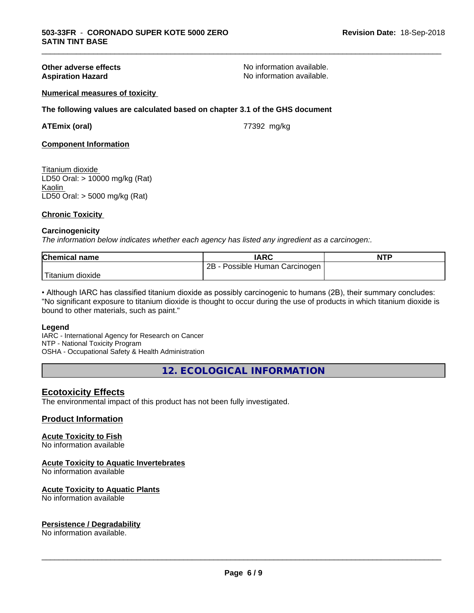**Other adverse effects**<br> **Aspiration Hazard**<br> **Aspiration Hazard**<br> **Aspiration Available.**<br>
No information available. No information available.

\_\_\_\_\_\_\_\_\_\_\_\_\_\_\_\_\_\_\_\_\_\_\_\_\_\_\_\_\_\_\_\_\_\_\_\_\_\_\_\_\_\_\_\_\_\_\_\_\_\_\_\_\_\_\_\_\_\_\_\_\_\_\_\_\_\_\_\_\_\_\_\_\_\_\_\_\_\_\_\_\_\_\_\_\_\_\_\_\_\_\_\_\_

#### **Numerical measures of toxicity**

**The following values are calculated based on chapter 3.1 of the GHS document**

**ATEmix (oral)** 77392 mg/kg

**Component Information**

#### Titanium dioxide

LD50 Oral: > 10000 mg/kg (Rat) Kaolin LD50 Oral: > 5000 mg/kg (Rat)

#### **Chronic Toxicity**

#### **Carcinogenicity**

*The information below indicateswhether each agency has listed any ingredient as a carcinogen:.*

| <b>Chemical name</b>        | <b>IARC</b>                          | <b>NTP</b> |
|-----------------------------|--------------------------------------|------------|
|                             | 2B<br>Possible Human<br>∖ Carcinogen |            |
| i ma<br>dioxide<br>Titanium |                                      |            |

• Although IARC has classified titanium dioxide as possibly carcinogenic to humans (2B), their summary concludes: "No significant exposure to titanium dioxide is thought to occur during the use of products in which titanium dioxide is bound to other materials, such as paint."

#### **Legend**

IARC - International Agency for Research on Cancer NTP - National Toxicity Program OSHA - Occupational Safety & Health Administration

**12. ECOLOGICAL INFORMATION**

### **Ecotoxicity Effects**

The environmental impact of this product has not been fully investigated.

#### **Product Information**

### **Acute Toxicity to Fish**

No information available

#### **Acute Toxicity to Aquatic Invertebrates**

No information available

#### **Acute Toxicity to Aquatic Plants**

No information available

#### **Persistence / Degradability**

No information available.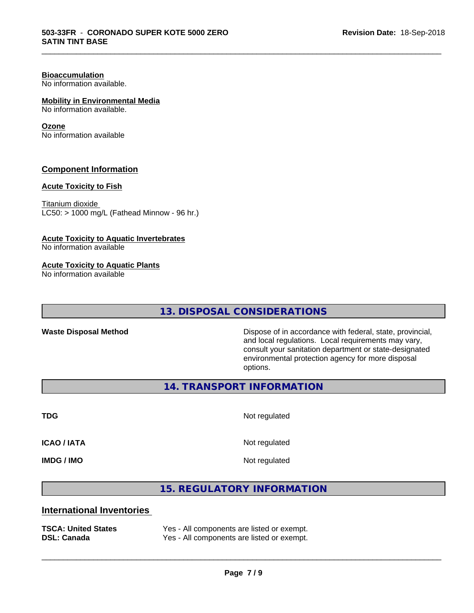# **Bioaccumulation**

No information available.

### **Mobility in Environmental Media**

No information available.

#### **Ozone**

No information available

### **Component Information**

### **Acute Toxicity to Fish**

Titanium dioxide  $LC50:$  > 1000 mg/L (Fathead Minnow - 96 hr.)

#### **Acute Toxicity to Aquatic Invertebrates**

No information available

#### **Acute Toxicity to Aquatic Plants**

No information available

# **13. DISPOSAL CONSIDERATIONS**

Waste Disposal Method **Dispose of in accordance with federal, state, provincial,** and local regulations. Local requirements may vary, consult your sanitation department or state-designated environmental protection agency for more disposal options.

**14. TRANSPORT INFORMATION**

**TDG** Not regulated

\_\_\_\_\_\_\_\_\_\_\_\_\_\_\_\_\_\_\_\_\_\_\_\_\_\_\_\_\_\_\_\_\_\_\_\_\_\_\_\_\_\_\_\_\_\_\_\_\_\_\_\_\_\_\_\_\_\_\_\_\_\_\_\_\_\_\_\_\_\_\_\_\_\_\_\_\_\_\_\_\_\_\_\_\_\_\_\_\_\_\_\_\_

**ICAO / IATA** Not regulated

**IMDG / IMO** Not regulated

 $\overline{\phantom{a}}$  ,  $\overline{\phantom{a}}$  ,  $\overline{\phantom{a}}$  ,  $\overline{\phantom{a}}$  ,  $\overline{\phantom{a}}$  ,  $\overline{\phantom{a}}$  ,  $\overline{\phantom{a}}$  ,  $\overline{\phantom{a}}$  ,  $\overline{\phantom{a}}$  ,  $\overline{\phantom{a}}$  ,  $\overline{\phantom{a}}$  ,  $\overline{\phantom{a}}$  ,  $\overline{\phantom{a}}$  ,  $\overline{\phantom{a}}$  ,  $\overline{\phantom{a}}$  ,  $\overline{\phantom{a}}$ 

# **15. REGULATORY INFORMATION**

## **International Inventories**

| <b>TSCA: United States</b> | Yes - All components are listed or exempt. |
|----------------------------|--------------------------------------------|
| <b>DSL: Canada</b>         | Yes - All components are listed or exempt. |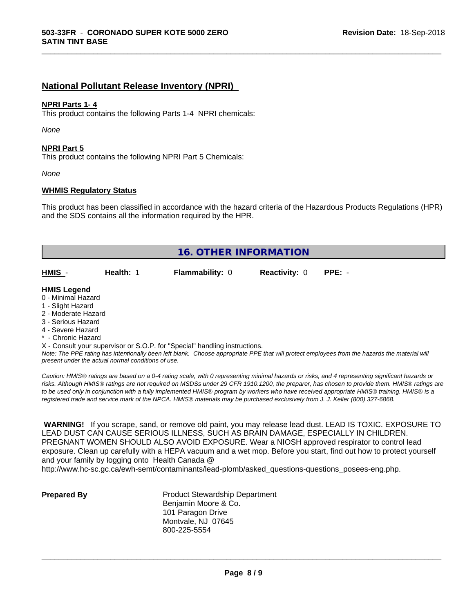# **National Pollutant Release Inventory (NPRI)**

#### **NPRI Parts 1- 4**

This product contains the following Parts 1-4 NPRI chemicals:

*None*

#### **NPRI Part 5**

This product contains the following NPRI Part 5 Chemicals:

*None*

#### **WHMIS Regulatory Status**

This product has been classified in accordance with the hazard criteria of the Hazardous Products Regulations (HPR) and the SDS contains all the information required by the HPR.

\_\_\_\_\_\_\_\_\_\_\_\_\_\_\_\_\_\_\_\_\_\_\_\_\_\_\_\_\_\_\_\_\_\_\_\_\_\_\_\_\_\_\_\_\_\_\_\_\_\_\_\_\_\_\_\_\_\_\_\_\_\_\_\_\_\_\_\_\_\_\_\_\_\_\_\_\_\_\_\_\_\_\_\_\_\_\_\_\_\_\_\_\_

| <b>16. OTHER INFORMATION</b> |           |                                                                            |                      |          |
|------------------------------|-----------|----------------------------------------------------------------------------|----------------------|----------|
| HMIS -                       | Health: 1 | <b>Flammability: 0</b>                                                     | <b>Reactivity: 0</b> | $PPE: -$ |
| <b>HMIS Legend</b>           |           |                                                                            |                      |          |
| 0 - Minimal Hazard           |           |                                                                            |                      |          |
| 1 - Slight Hazard            |           |                                                                            |                      |          |
| 2 - Moderate Hazard          |           |                                                                            |                      |          |
| 3 - Serious Hazard           |           |                                                                            |                      |          |
| 4 - Severe Hazard            |           |                                                                            |                      |          |
| * - Chronic Hazard           |           |                                                                            |                      |          |
|                              |           | X - Consult your supervisor or S.O.P. for "Special" handling instructions. |                      |          |

*Note: The PPE rating has intentionally been left blank. Choose appropriate PPE that will protect employees from the hazards the material will present under the actual normal conditions of use.*

*Caution: HMISÒ ratings are based on a 0-4 rating scale, with 0 representing minimal hazards or risks, and 4 representing significant hazards or risks. Although HMISÒ ratings are not required on MSDSs under 29 CFR 1910.1200, the preparer, has chosen to provide them. HMISÒ ratings are to be used only in conjunction with a fully implemented HMISÒ program by workers who have received appropriate HMISÒ training. HMISÒ is a registered trade and service mark of the NPCA. HMISÒ materials may be purchased exclusively from J. J. Keller (800) 327-6868.*

 **WARNING!** If you scrape, sand, or remove old paint, you may release lead dust. LEAD IS TOXIC. EXPOSURE TO LEAD DUST CAN CAUSE SERIOUS ILLNESS, SUCH AS BRAIN DAMAGE, ESPECIALLY IN CHILDREN. PREGNANT WOMEN SHOULD ALSO AVOID EXPOSURE.Wear a NIOSH approved respirator to control lead exposure. Clean up carefully with a HEPA vacuum and a wet mop. Before you start, find out how to protect yourself and your family by logging onto Health Canada @

http://www.hc-sc.gc.ca/ewh-semt/contaminants/lead-plomb/asked\_questions-questions\_posees-eng.php.

**Prepared By** Product Stewardship Department Benjamin Moore & Co. 101 Paragon Drive Montvale, NJ 07645 800-225-5554